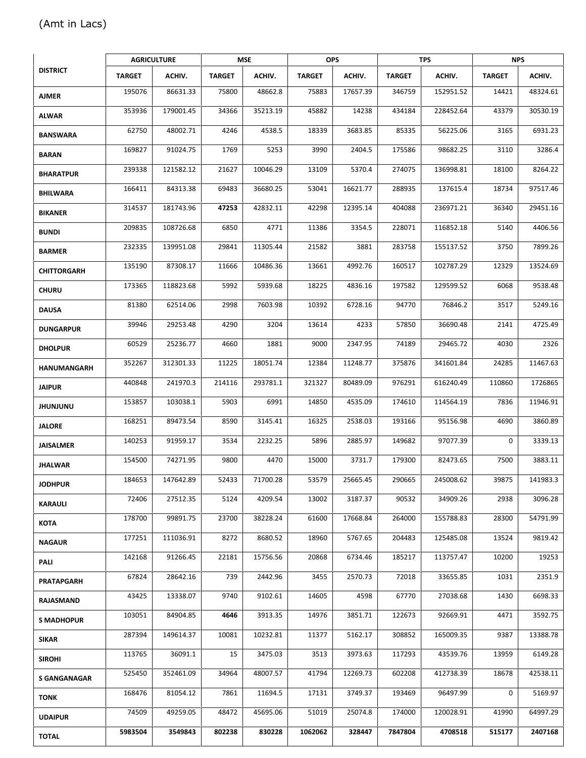## **DISTRICT AGRICULTURE MSE OPS TPS NPS TARGET ACHIV. TARGET ACHIV. TARGET ACHIV. TARGET ACHIV. TARGET ACHIV. AJMER** 195076 86631.33 75800 48662.8 75883 17657.39 346759 152951.52 14421 48324.61 **ALWAR** 353936 | 179001.45 | 34366 | 35213.19 | 45882 | 14238 | 434184 | 228452.64 | 43379 | 30530.19 | **BANSWARA** <sup>62750</sup> 48002.71 <sup>4246</sup> 4538.5 <sup>18339</sup> 3683.85 <sup>85335</sup> 56225.06 <sup>3165</sup> 6931.23 **BARAN** 169827 91024.75 1769 5253 3990 2404.5 175586 98682.25 3110 3286.4 **BHARATPUR** <sup>239338</sup> 121582.12 <sup>21627</sup> 10046.29 <sup>13109</sup> 5370.4 <sup>274075</sup> 136998.81 <sup>18100</sup> 8264.22 **BHILWARA** <sup>166411</sup> 84313.38 <sup>69483</sup> 36680.25 <sup>53041</sup> 16621.77 <sup>288935</sup> 137615.4 <sup>18734</sup> 97517.46 **BIKANER** <sup>314537</sup> 181743.96 **<sup>47253</sup>** 42832.11 <sup>42298</sup> 12395.14 <sup>404088</sup> 236971.21 <sup>36340</sup> 29451.16 **BUNDI** 209835 | 108726.68 | 6850 | 4771 | 11386 | 3354.5 | 228071 | 116852.18 | 5140 | 4406.56 | **BARMER** 232335 | 139951.08 | 29841 | 11305.44 | 21582 | 3881 | 283758 | 155137.52 | 3750 | 7899.26 | **CHITTORGARH | 135190 87308.17 | 11666 10486.36 | 13661 4992.76 | 160517 | 102787.29 | 12329 | 13524.69 | CHURU** 173365 118823.68 5992 5939.68 18225 4836.16 197582 129599.52 6068 9538.48 **DAUSA** 81380 62514.06 2998 7603.98 10392 6728.16 94770 76846.2 3517 5249.16 **DUNGARPUR** <sup>39946</sup> 29253.48 <sup>4290</sup> <sup>3204</sup> <sup>13614</sup> <sup>4233</sup> <sup>57850</sup> 36690.48 <sup>2141</sup> 4725.49 **DHOLPUR** 60529 25236.77 4660 1881 9000 2347.95 74189 29465.72 4030 2326 **HANUMANGARH |** 352267 | 312301.33 | 11225 | 18051.74 | 12384 | 11248.77 | 375876 | 341601.84 | 24285 | 11467.63 | **JAIPUR** <sup>440848</sup> 241970.3 <sup>214116</sup> 293781.1 <sup>321327</sup> 80489.09 <sup>976291</sup> 616240.49 <sup>110860</sup> <sup>1726865</sup> **JHUNJUNU |** 153857 103038.1 5903 6991 14850 4535.09 174610 114564.19 7836 11946.91 7 **JALORE** 168251 89473.54 8590 3145.41 16325 2538.03 193166 95156.98 4690 3860.89 JAISALMER | 140253 91959.17 3534 2232.25 5896 2885.97 149682 97077.39 0 3339.13 *J* **JHALWAR** <sup>154500</sup> 74271.95 <sup>9800</sup> <sup>4470</sup> <sup>15000</sup> 3731.7 <sup>179300</sup> 82473.65 <sup>7500</sup> 3883.11 **JODHPUR** 184653 147642.89 52433 71700.28 53579 25665.45 290665 245008.62 39875 141983.3 **KARAULI** 72406 27512.35 5124 4209.54 13002 3187.37 90532 34909.26 2938 3096.28 **KOTA** 178700 99891.75 23700 38228.24 61600 17668.84 264000 155788.83 28300 54791.99 **NAGAUR** 177251 111036.91 8272 8680.52 18960 5767.65 204483 125485.08 13524 9819.42 **PALI** 142168 91266.45 22181 15756.56 20868 6734.46 185217 113757.47 10200 19253 **PRATAPGARH** <sup>67824</sup> 28642.16 <sup>739</sup> 2442.96 <sup>3455</sup> 2570.73 <sup>72018</sup> 33655.85 <sup>1031</sup> 2351.9 **RAJASMAND** <sup>43425</sup> 13338.07 <sup>9740</sup> 9102.61 <sup>14605</sup> <sup>4598</sup> <sup>67770</sup> 27038.68 <sup>1430</sup> 6698.33 **S MADHOPUR** <sup>103051</sup> 84904.85 **<sup>4646</sup>** 3913.35 <sup>14976</sup> 3851.71 <sup>122673</sup> 92669.91 <sup>4471</sup> 3592.75 **SIKAR** 287394 | 149614.37 | 10081 | 10232.81 | 11377 | 5162.17 | 308852 | 165009.35 | 9387 | 13388.78 | | | | | | **SIROHI** | 113765 | 36091.1 | 15 | 3475.03 | 3513 | 3973.63 | 117293 | 43539.76 | 13959 | 6149.28 | **<sup>S</sup> GANGANAGAR** <sup>525450</sup> 352461.09 <sup>34964</sup> 48007.57 <sup>41794</sup> 12269.73 <sup>602208</sup> 412738.39 <sup>18678</sup> 42538.11 **TONK** 168476 81054.12 7861 11694.5 17131 3749.37 193469 96497.99 0 5169.97 **UDAIPUR** <sup>74509</sup> 49259.05 <sup>48472</sup> 45695.06 <sup>51019</sup> 25074.8 <sup>174000</sup> 120028.91 <sup>41990</sup> 64997.29 **TOTAL <sup>5983504</sup> <sup>3549843</sup> <sup>802238</sup> <sup>830228</sup> <sup>1062062</sup> <sup>328447</sup> <sup>7847804</sup> <sup>4708518</sup> <sup>515177</sup> <sup>2407168</sup>**

## (Amt in Lacs)